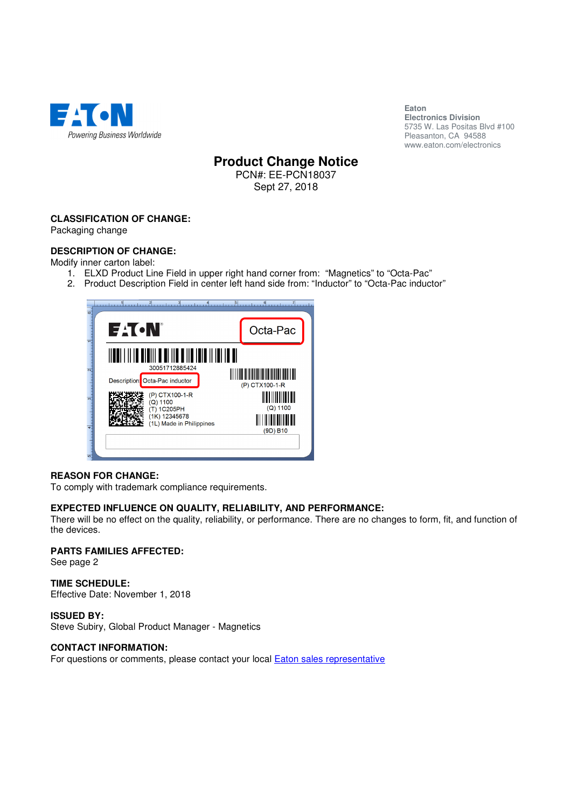

**Eaton Electronics Division**  5735 W. Las Positas Blvd #100 Pleasanton, CA 94588 www.eaton.com/electronics

# **Product Change Notice**

PCN#: EE-PCN18037 Sept 27, 2018

# **CLASSIFICATION OF CHANGE:**

Packaging change

# **DESCRIPTION OF CHANGE:**

Modify inner carton label:

- 1. ELXD Product Line Field in upper right hand corner from: "Magnetics" to "Octa-Pac"
- 2. Product Description Field in center left hand side from: "Inductor" to "Octa-Pac inductor"

| $\overline{\bullet}$ | $3$ considered<br>استبرا أكريتيه                  |                |  |
|----------------------|---------------------------------------------------|----------------|--|
|                      | EACN                                              | Octa-Pac       |  |
|                      | I OIOIII O OI IIO O IIO IOO III<br>30051712885424 |                |  |
|                      | Octa-Pac inductor<br><b>Description</b>           | (P) CTX100-1-R |  |
|                      | (P) CTX100-1-R<br>$(Q)$ 1100<br>(T) 1C205PH       | $(Q)$ 1100     |  |
|                      | (1K) 12345678<br>(1L) Made in Philippines         | (9D) B10       |  |
| $\overline{5}$       |                                                   |                |  |

### **REASON FOR CHANGE:**

To comply with trademark compliance requirements.

### **EXPECTED INFLUENCE ON QUALITY, RELIABILITY, AND PERFORMANCE:**

There will be no effect on the quality, reliability, or performance. There are no changes to form, fit, and function of the devices.

# **PARTS FAMILIES AFFECTED:**

See page 2

# **TIME SCHEDULE:**

Effective Date: November 1, 2018

### **ISSUED BY:**

Steve Subiry, Global Product Manager - Magnetics

### **CONTACT INFORMATION:**

For questions or comments, please contact your local **Eaton sales representative**